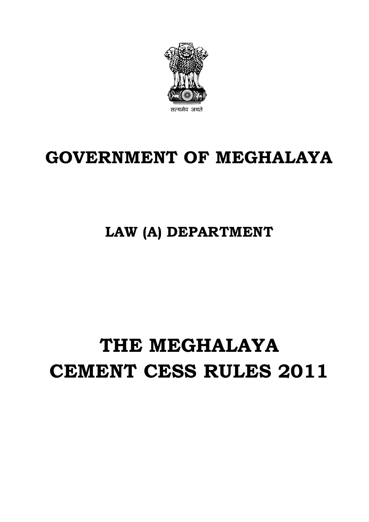

## **GOVERNMENT OF MEGHALAYA**

**LAW (A) DEPARTMENT**

# **THE MEGHALAYA CEMENT CESS RULES 2011**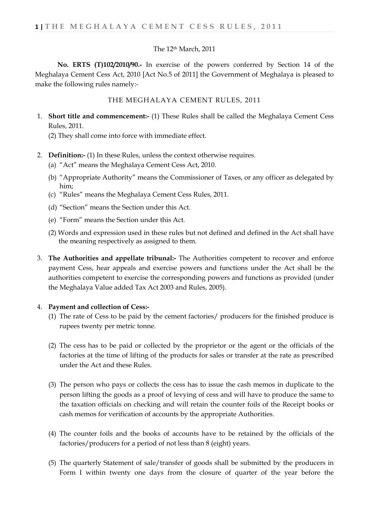#### The 12th March, 2011

**No. ERTS (T)102/2010/90.-** In exercise of the powers conferred by Section 14 of the Meghalaya Cement Cess Act, 2010 [Act No.5 of 2011] the Government of Meghalaya is pleased to make the following rules namely:-

#### THE MEGHALAYA CEMENT RULES, 2011

1. **Short title and commencement:-** (1) These Rules shall be called the Meghalaya Cement Cess Rules, 2011.

(2) They shall come into force with immediate effect.

- 2. **Definition:-** (1) In these Rules, unless the context otherwise requires.
	- (a) "Act" means the Meghalaya Cement Cess Act, 2010.
	- (b) "Appropriate Authority" means the Commissioner of Taxes, or any officer as delegated by him;
	- (c) "Rules" means the Meghalaya Cement Cess Rules, 2011.
	- (d) "Section" means the Section under this Act.
	- (e) "Form" means the Section under this Act.
	- (2) Words and expression used in these rules but not defined and defined in the Act shall have the meaning respectively as assigned to them.
- 3. **The Authorities and appellate tribunal:-** The Authorities competent to recover and enforce payment Cess, hear appeals and exercise powers and functions under the Act shall be the authorities competent to exercise the corresponding powers and functions as provided (under the Meghalaya Value added Tax Act 2003 and Rules, 2005).

#### 4. **Payment and collection of Cess:-**

- (1) The rate of Cess to be paid by the cement factories/ producers for the finished produce is rupees twenty per metric tonne.
- (2) The cess has to be paid or collected by the proprietor or the agent or the officials of the factories at the time of lifting of the products for sales or transfer at the rate as prescribed under the Act and these Rules.
- (3) The person who pays or collects the cess has to issue the cash memos in duplicate to the person lifting the goods as a proof of levying of cess and will have to produce the same to the taxation officials on checking and will retain the counter foils of the Receipt books or cash memos for verification of accounts by the appropriate Authorities.
- (4) The counter foils and the books of accounts have to be retained by the officials of the factories/producers for a period of not less than 8 (eight) years.
- (5) The quarterly Statement of sale/transfer of goods shall be submitted by the producers in Form I within twenty one days from the closure of quarter of the year before the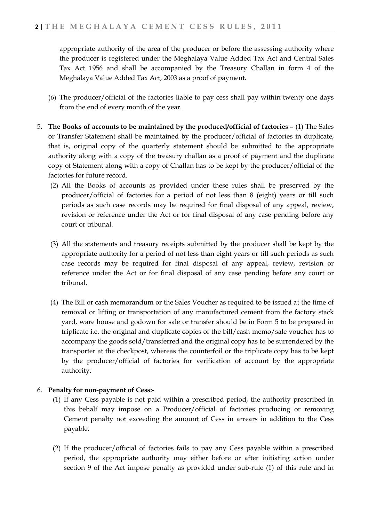appropriate authority of the area of the producer or before the assessing authority where the producer is registered under the Meghalaya Value Added Tax Act and Central Sales Tax Act 1956 and shall be accompanied by the Treasury Challan in form 4 of the Meghalaya Value Added Tax Act, 2003 as a proof of payment.

- (6) The producer/official of the factories liable to pay cess shall pay within twenty one days from the end of every month of the year.
- 5. **The Books of accounts to be maintained by the produced/official of factories** (1) The Sales or Transfer Statement shall be maintained by the producer/official of factories in duplicate, that is, original copy of the quarterly statement should be submitted to the appropriate authority along with a copy of the treasury challan as a proof of payment and the duplicate copy of Statement along with a copy of Challan has to be kept by the producer/official of the factories for future record.
	- (2) All the Books of accounts as provided under these rules shall be preserved by the producer/official of factories for a period of not less than 8 (eight) years or till such periods as such case records may be required for final disposal of any appeal, review, revision or reference under the Act or for final disposal of any case pending before any court or tribunal.
	- (3) All the statements and treasury receipts submitted by the producer shall be kept by the appropriate authority for a period of not less than eight years or till such periods as such case records may be required for final disposal of any appeal, review, revision or reference under the Act or for final disposal of any case pending before any court or tribunal.
	- (4) The Bill or cash memorandum or the Sales Voucher as required to be issued at the time of removal or lifting or transportation of any manufactured cement from the factory stack yard, ware house and godown for sale or transfer should be in Form 5 to be prepared in triplicate i.e. the original and duplicate copies of the bill/cash memo/sale voucher has to accompany the goods sold/transferred and the original copy has to be surrendered by the transporter at the checkpost, whereas the counterfoil or the triplicate copy has to be kept by the producer/official of factories for verification of account by the appropriate authority.

## 6. **Penalty for non-payment of Cess:-**

- (1) If any Cess payable is not paid within a prescribed period, the authority prescribed in this behalf may impose on a Producer/official of factories producing or removing Cement penalty not exceeding the amount of Cess in arrears in addition to the Cess payable.
- (2) If the producer/official of factories fails to pay any Cess payable within a prescribed period, the appropriate authority may either before or after initiating action under section 9 of the Act impose penalty as provided under sub-rule (1) of this rule and in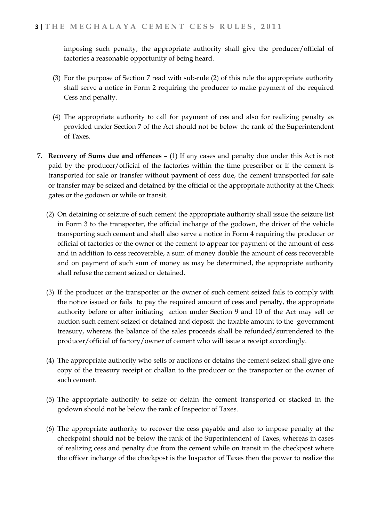imposing such penalty, the appropriate authority shall give the producer/official of factories a reasonable opportunity of being heard.

- (3) For the purpose of Section 7 read with sub-rule (2) of this rule the appropriate authority shall serve a notice in Form 2 requiring the producer to make payment of the required Cess and penalty.
- (4) The appropriate authority to call for payment of ces and also for realizing penalty as provided under Section 7 of the Act should not be below the rank of the Superintendent of Taxes.
- **7. Recovery of Sums due and offences** (1) If any cases and penalty due under this Act is not paid by the producer/official of the factories within the time prescriber or if the cement is transported for sale or transfer without payment of cess due, the cement transported for sale or transfer may be seized and detained by the official of the appropriate authority at the Check gates or the godown or while or transit.
	- (2) On detaining or seizure of such cement the appropriate authority shall issue the seizure list in Form 3 to the transporter, the official incharge of the godown, the driver of the vehicle transporting such cement and shall also serve a notice in Form 4 requiring the producer or official of factories or the owner of the cement to appear for payment of the amount of cess and in addition to cess recoverable, a sum of money double the amount of cess recoverable and on payment of such sum of money as may be determined, the appropriate authority shall refuse the cement seized or detained.
	- (3) If the producer or the transporter or the owner of such cement seized fails to comply with the notice issued or fails to pay the required amount of cess and penalty, the appropriate authority before or after initiating action under Section 9 and 10 of the Act may sell or auction such cement seized or detained and deposit the taxable amount to the government treasury, whereas the balance of the sales proceeds shall be refunded/surrendered to the producer/official of factory/owner of cement who will issue a receipt accordingly.
	- (4) The appropriate authority who sells or auctions or detains the cement seized shall give one copy of the treasury receipt or challan to the producer or the transporter or the owner of such cement.
	- (5) The appropriate authority to seize or detain the cement transported or stacked in the godown should not be below the rank of Inspector of Taxes.
	- (6) The appropriate authority to recover the cess payable and also to impose penalty at the checkpoint should not be below the rank of the Superintendent of Taxes, whereas in cases of realizing cess and penalty due from the cement while on transit in the checkpost where the officer incharge of the checkpost is the Inspector of Taxes then the power to realize the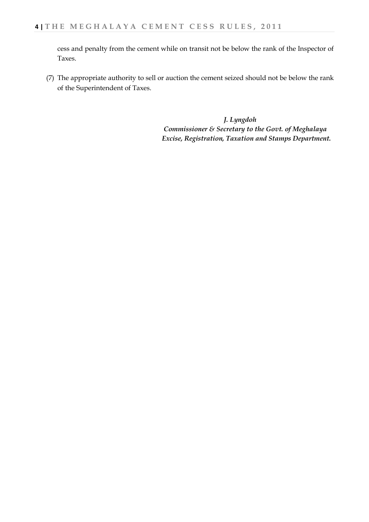cess and penalty from the cement while on transit not be below the rank of the Inspector of Taxes.

(7) The appropriate authority to sell or auction the cement seized should not be below the rank of the Superintendent of Taxes.

> *J. Lyngdoh Commissioner & Secretary to the Govt. of Meghalaya Excise, Registration, Taxation and Stamps Department.*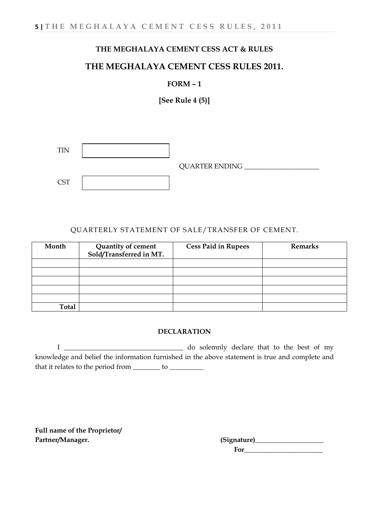## **THE MEGHALAYA CEMENT CESS RULES 2011.**

## **FORM – 1**

**[See Rule 4 (5)]**

|            | <b>QUARTER ENDING</b> |
|------------|-----------------------|
| <b>CST</b> |                       |

#### QUARTERLY STATEMENT OF SALE/TRANSFER OF CEMENT.

| Month        | Quantity of cement<br>Sold/Transferred in MT. | <b>Cess Paid in Rupees</b> | <b>Remarks</b> |
|--------------|-----------------------------------------------|----------------------------|----------------|
|              |                                               |                            |                |
|              |                                               |                            |                |
|              |                                               |                            |                |
|              |                                               |                            |                |
|              |                                               |                            |                |
| <b>Total</b> |                                               |                            |                |

#### **DECLARATION**

I \_\_\_\_\_\_\_\_\_\_\_\_\_\_\_\_\_\_\_\_\_\_\_\_\_\_\_\_\_\_\_\_\_\_\_ do solemnly declare that to the best of my knowledge and belief the information furnished in the above statement is true and complete and that it relates to the period from \_\_\_\_\_\_\_\_ to \_\_\_\_\_\_\_\_\_\_\_

**Full name of the Proprietor/**

Partner/Manager. etc. and the settlement of the settlement of the settlement of the settlement of the settlement of the settlement of the settlement of the settlement of the settlement of the settlement of the settlement o  **For\_\_\_\_\_\_\_\_\_\_\_\_\_\_\_\_\_\_\_\_\_\_\_**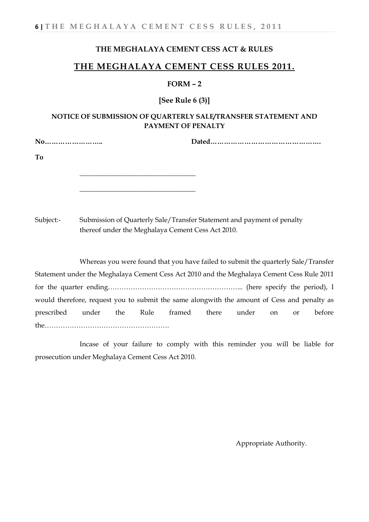## **THE MEGHALAYA CEMENT CESS RULES 2011.**

#### **FORM – 2**

**[See Rule 6 (3)]**

## **NOTICE OF SUBMISSION OF QUARTERLY SALE/TRANSFER STATEMENT AND PAYMENT OF PENALTY**

**No…………………….. Dated………………………………………….** 

**\_\_\_\_\_\_\_\_\_\_\_\_\_\_\_\_\_\_\_\_\_\_\_\_\_\_\_\_\_\_\_\_\_\_** 

**\_\_\_\_\_\_\_\_\_\_\_\_\_\_\_\_\_\_\_\_\_\_\_\_\_\_\_\_\_\_\_\_\_\_** 

**To**

Subject:- Submission of Quarterly Sale/Transfer Statement and payment of penalty thereof under the Meghalaya Cement Cess Act 2010.

Whereas you were found that you have failed to submit the quarterly Sale/Transfer Statement under the Meghalaya Cement Cess Act 2010 and the Meghalaya Cement Cess Rule 2011 for the quarter ending…………………………………………………... (here specify the period), I would therefore, request you to submit the same alongwith the amount of Cess and penalty as prescribed under the Rule framed there under on or before the……………………………………………….

Incase of your failure to comply with this reminder you will be liable for prosecution under Meghalaya Cement Cess Act 2010.

Appropriate Authority.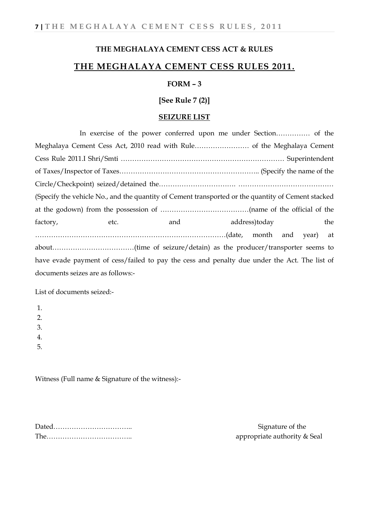## **THE MEGHALAYA CEMENT CESS RULES 2011.**

#### **FORM – 3**

**[See Rule 7 (2)]**

#### **SEIZURE LIST**

In exercise of the power conferred upon me under Section…………… of the Meghalaya Cement Cess Act, 2010 read with Rule…………………… of the Meghalaya Cement Cess Rule 2011.I Shri/Smti ……………………………………………………………… Superintendent of Taxes/Inspector of Taxes…………………………………………………….. (Specify the name of the Circle/Checkpoint) seized/detained the……………………………. …………………………………… (Specify the vehicle No., and the quantity of Cement transported or the quantity of Cement stacked at the godown) from the possession of …………………………………(name of the official of the factory, etc. and address)today the the factory, the state and addressing the the state of the state of the state and state and state  $\frac{1}{2}$  and  $\frac{1}{2}$  and  $\frac{1}{2}$  and  $\frac{1}{2}$  and  $\frac{1}{2}$  and  $\frac{1}{2}$  and  $\frac{$ …………………………………………………………………………(date, month and year) at about………………………………(time of seizure/detain) as the producer/transporter seems to have evade payment of cess/failed to pay the cess and penalty due under the Act. The list of documents seizes are as follows:-

List of documents seized:-

1.  $\mathcal{P}$ 3. 4. 5.

Witness (Full name & Signature of the witness):-

Dated…………………………….. Signature of the The……………………………….. appropriate authority & Seal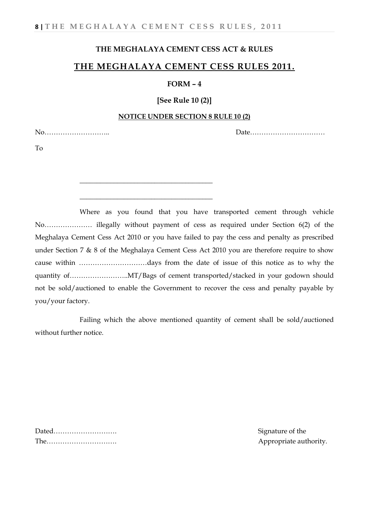\_\_\_\_\_\_\_\_\_\_\_\_\_\_\_\_\_\_\_\_\_\_\_\_\_\_\_\_\_\_\_\_\_\_\_\_\_\_\_

\_\_\_\_\_\_\_\_\_\_\_\_\_\_\_\_\_\_\_\_\_\_\_\_\_\_\_\_\_\_\_\_\_\_\_\_\_\_\_

## **THE MEGHALAYA CEMENT CESS ACT & RULES**

## **THE MEGHALAYA CEMENT CESS RULES 2011.**

#### **FORM – 4**

## **[See Rule 10 (2)]**

#### **NOTICE UNDER SECTION 8 RULE 10 (2)**

No……………………….. Date……………………………

To

Where as you found that you have transported cement through vehicle No………………… illegally without payment of cess as required under Section 6(2) of the Meghalaya Cement Cess Act 2010 or you have failed to pay the cess and penalty as prescribed under Section 7 & 8 of the Meghalaya Cement Cess Act 2010 you are therefore require to show cause within …………………………days from the date of issue of this notice as to why the quantity of……………………..MT/Bags of cement transported/stacked in your godown should not be sold/auctioned to enable the Government to recover the cess and penalty payable by you/your factory.

Failing which the above mentioned quantity of cement shall be sold/auctioned without further notice.

Dated………………………. Signature of the The…………………………. Appropriate authority.